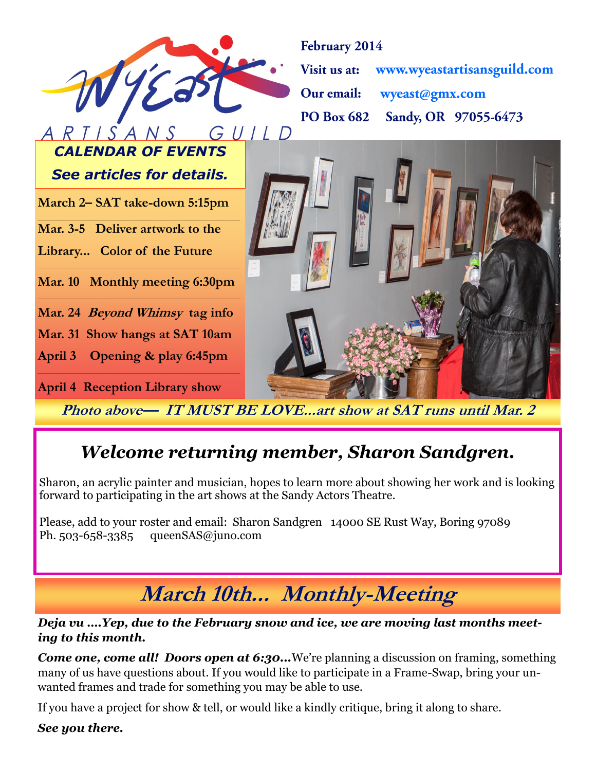

February 2014

Visit us at: www.wyeastartisansguild.com wyeast@gmx.com Our email: Sandy, OR 97055-6473 **PO Box 682** 

*See articles for details.*

*CALENDAR OF EVENTS*

**March 2– SAT take-down 5:15pm \_\_\_\_\_\_\_\_\_\_\_\_\_\_\_\_\_\_\_\_\_\_\_\_\_\_\_\_\_\_\_\_\_\_\_\_\_\_\_\_\_\_\_\_\_\_\_\_\_\_\_\_\_\_\_\_\_\_\_\_\_\_\_\_\_\_\_\_\_\_\_\_\_\_\_\_\_\_\_\_\_\_\_\_\_\_\_\_\_\_\_\_\_\_\_\_\_\_\_\_\_\_\_\_**

**Mar. 3-5 Deliver artwork to the**

**Library... Color of the Future** 

**\_\_\_\_\_\_\_\_\_\_\_\_\_\_\_\_\_\_\_\_\_\_\_\_\_\_\_\_\_\_\_\_\_\_\_\_\_\_\_\_\_\_\_\_\_\_\_\_\_\_\_\_\_\_\_\_\_\_\_\_\_\_\_\_\_\_\_\_\_\_\_\_\_\_\_\_\_\_\_\_\_\_\_\_\_\_\_\_\_\_\_\_\_\_\_\_\_\_\_\_\_\_\_\_ Mar. 10 Monthly meeting 6:30pm**

**Mar. 24 Beyond Whimsy tag info**

**Mar. 31 Show hangs at SAT 10am** 

**April 3 Opening & play 6:45pm**

**April 4 Reception Library show**

**Photo above— IT MUST BE LOVE...art show at SAT runs until Mar. 2**

### *Welcome returning member, Sharon Sandgren.*

Sharon, an acrylic painter and musician, hopes to learn more about showing her work and is looking forward to participating in the art shows at the Sandy Actors Theatre.

Please, add to your roster and email: Sharon Sandgren 14000 SE Rust Way, Boring 97089 Ph. 503-658-3385 queenSAS@juno.com

**March 10th... Monthly-Meeting** 

#### *Deja vu ….Yep, due to the February snow and ice, we are moving last months meeting to this month.*

**Come one, come all! Doors open at 6:30...**We're planning a discussion on framing, something many of us have questions about. If you would like to participate in a Frame-Swap, bring your unwanted frames and trade for something you may be able to use.

If you have a project for show & tell, or would like a kindly critique, bring it along to share.

*See you there.*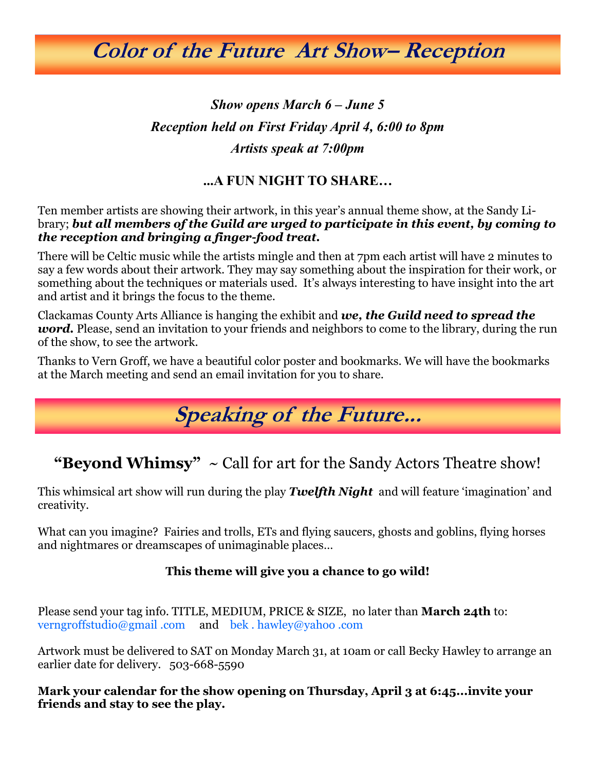# **Color of the Future Art Show– Reception**

### *Show opens March 6 – June 5 Reception held on First Friday April 4, 6:00 to 8pm Artists speak at 7:00pm*

### **...A FUN NIGHT TO SHARE…**

Ten member artists are showing their artwork, in this year's annual theme show, at the Sandy Library; *but all members of the Guild are urged to participate in this event, by coming to the reception and bringing a finger-food treat.*

There will be Celtic music while the artists mingle and then at 7pm each artist will have 2 minutes to say a few words about their artwork. They may say something about the inspiration for their work, or something about the techniques or materials used. It's always interesting to have insight into the art and artist and it brings the focus to the theme.

Clackamas County Arts Alliance is hanging the exhibit and *we, the Guild need to spread the word.* Please, send an invitation to your friends and neighbors to come to the library, during the run of the show, to see the artwork.

Thanks to Vern Groff, we have a beautiful color poster and bookmarks. We will have the bookmarks at the March meeting and send an email invitation for you to share.

# **Speaking of the Future...**

**"Beyond Whimsy"** ~ Call for art for the Sandy Actors Theatre show!

This whimsical art show will run during the play *Twelfth Night* and will feature 'imagination' and creativity.

What can you imagine? Fairies and trolls, ETs and flying saucers, ghosts and goblins, flying horses and nightmares or dreamscapes of unimaginable places…

#### **This theme will give you a chance to go wild!**

Please send your tag info. TITLE, MEDIUM, PRICE & SIZE, no later than **March 24th** to: verngroffstudio@gmail .com and bek . hawley@yahoo .com

Artwork must be delivered to SAT on Monday March 31, at 10am or call Becky Hawley to arrange an earlier date for delivery. 503-668-5590

**Mark your calendar for the show opening on Thursday, April 3 at 6:45...invite your friends and stay to see the play.**